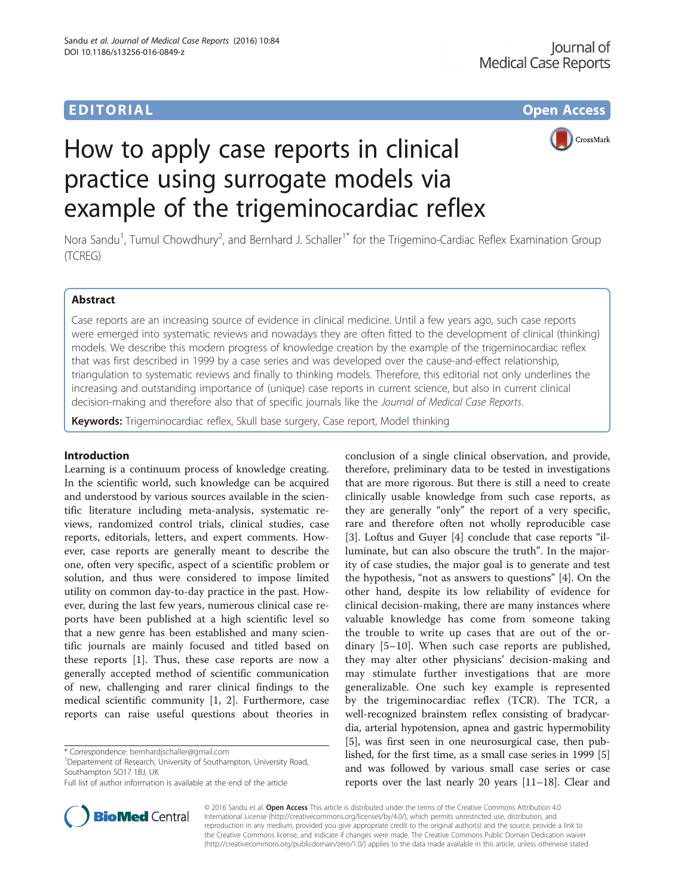# EDITORIAL AND CONTROL CONTROL CONTROL CONTROL CONTROL CONTROL CONTROL CONTROL CONTROL CONTROL CONTROL CONTROL CONTROL CONTROL CONTROL CONTROL CONTROL CONTROL CONTROL CONTROL CONTROL CONTROL CONTROL CONTROL CONTROL CONTROL



# How to apply case reports in clinical practice using surrogate models via example of the trigeminocardiac reflex

Nora Sandu<sup>1</sup>, Tumul Chowdhury<sup>2</sup>, and Bernhard J. Schaller<sup>1\*</sup> for the Trigemino-Cardiac Reflex Examination Group (TCREG)

# Abstract

Case reports are an increasing source of evidence in clinical medicine. Until a few years ago, such case reports were emerged into systematic reviews and nowadays they are often fitted to the development of clinical (thinking) models. We describe this modern progress of knowledge creation by the example of the trigeminocardiac reflex that was first described in 1999 by a case series and was developed over the cause-and-effect relationship, triangulation to systematic reviews and finally to thinking models. Therefore, this editorial not only underlines the increasing and outstanding importance of (unique) case reports in current science, but also in current clinical decision-making and therefore also that of specific journals like the Journal of Medical Case Reports.

Keywords: Trigeminocardiac reflex, Skull base surgery, Case report, Model thinking

## Introduction

Learning is a continuum process of knowledge creating. In the scientific world, such knowledge can be acquired and understood by various sources available in the scientific literature including meta-analysis, systematic reviews, randomized control trials, clinical studies, case reports, editorials, letters, and expert comments. However, case reports are generally meant to describe the one, often very specific, aspect of a scientific problem or solution, and thus were considered to impose limited utility on common day-to-day practice in the past. However, during the last few years, numerous clinical case reports have been published at a high scientific level so that a new genre has been established and many scientific journals are mainly focused and titled based on these reports [\[1](#page-3-0)]. Thus, these case reports are now a generally accepted method of scientific communication of new, challenging and rarer clinical findings to the medical scientific community [\[1](#page-3-0), [2\]](#page-3-0). Furthermore, case reports can raise useful questions about theories in

\* Correspondence: [bernhardjschaller@gmail.com](mailto:bernhardjschaller@gmail.com) <sup>1</sup>

**BioMed Central** 

Full list of author information is available at the end of the article



© 2016 Sandu et al. Open Access This article is distributed under the terms of the Creative Commons Attribution 4.0 International License [\(http://creativecommons.org/licenses/by/4.0/](http://creativecommons.org/licenses/by/4.0/)), which permits unrestricted use, distribution, and reproduction in any medium, provided you give appropriate credit to the original author(s) and the source, provide a link to the Creative Commons license, and indicate if changes were made. The Creative Commons Public Domain Dedication waiver [\(http://creativecommons.org/publicdomain/zero/1.0/](http://creativecommons.org/publicdomain/zero/1.0/)) applies to the data made available in this article, unless otherwise stated.

<sup>&</sup>lt;sup>1</sup>Departement of Research, University of Southampton, University Road, Southampton SO17 1BJ, UK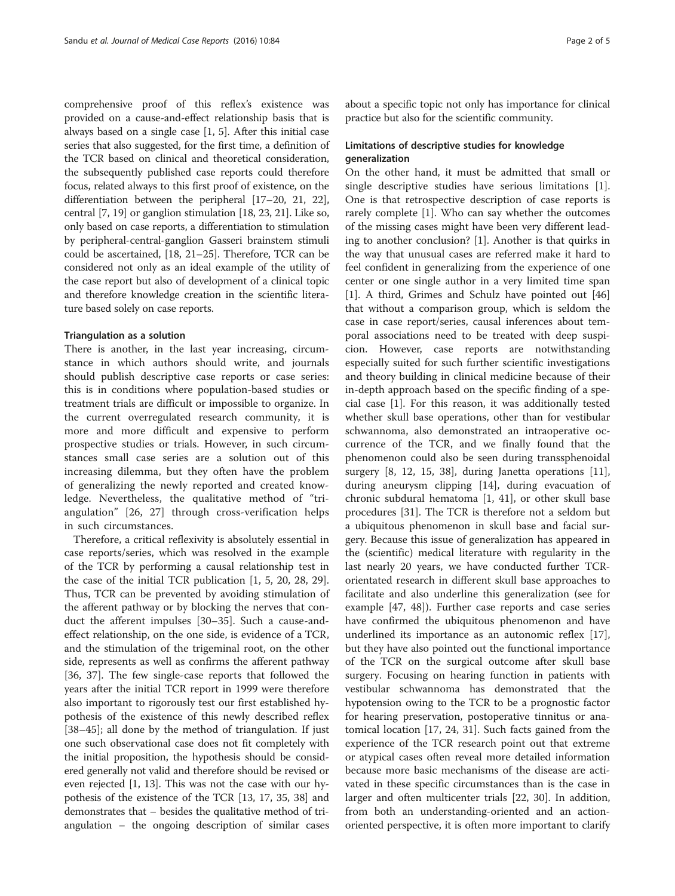comprehensive proof of this reflex's existence was provided on a cause-and-effect relationship basis that is always based on a single case [[1](#page-3-0), [5\]](#page-3-0). After this initial case series that also suggested, for the first time, a definition of the TCR based on clinical and theoretical consideration, the subsequently published case reports could therefore focus, related always to this first proof of existence, on the differentiation between the peripheral [\[17](#page-3-0)–[20](#page-3-0), [21, 22](#page-3-0)], central [[7, 19](#page-3-0)] or ganglion stimulation [[18](#page-3-0), [23, 21](#page-3-0)]. Like so, only based on case reports, a differentiation to stimulation by peripheral-central-ganglion Gasseri brainstem stimuli could be ascertained, [\[18](#page-3-0), [21](#page-3-0)–[25\]](#page-3-0). Therefore, TCR can be considered not only as an ideal example of the utility of the case report but also of development of a clinical topic and therefore knowledge creation in the scientific literature based solely on case reports.

#### Triangulation as a solution

There is another, in the last year increasing, circumstance in which authors should write, and journals should publish descriptive case reports or case series: this is in conditions where population-based studies or treatment trials are difficult or impossible to organize. In the current overregulated research community, it is more and more difficult and expensive to perform prospective studies or trials. However, in such circumstances small case series are a solution out of this increasing dilemma, but they often have the problem of generalizing the newly reported and created knowledge. Nevertheless, the qualitative method of "triangulation" [[26, 27](#page-3-0)] through cross-verification helps in such circumstances.

Therefore, a critical reflexivity is absolutely essential in case reports/series, which was resolved in the example of the TCR by performing a causal relationship test in the case of the initial TCR publication [\[1](#page-3-0), [5, 20](#page-3-0), [28, 29](#page-3-0)]. Thus, TCR can be prevented by avoiding stimulation of the afferent pathway or by blocking the nerves that conduct the afferent impulses [[30](#page-3-0)–[35](#page-3-0)]. Such a cause-andeffect relationship, on the one side, is evidence of a TCR, and the stimulation of the trigeminal root, on the other side, represents as well as confirms the afferent pathway [[36, 37](#page-3-0)]. The few single-case reports that followed the years after the initial TCR report in 1999 were therefore also important to rigorously test our first established hypothesis of the existence of this newly described reflex [[38](#page-3-0)–[45](#page-4-0)]; all done by the method of triangulation. If just one such observational case does not fit completely with the initial proposition, the hypothesis should be considered generally not valid and therefore should be revised or even rejected [[1, 13\]](#page-3-0). This was not the case with our hypothesis of the existence of the TCR [\[13](#page-3-0), [17](#page-3-0), [35, 38](#page-3-0)] and demonstrates that – besides the qualitative method of triangulation – the ongoing description of similar cases about a specific topic not only has importance for clinical practice but also for the scientific community.

## Limitations of descriptive studies for knowledge generalization

On the other hand, it must be admitted that small or single descriptive studies have serious limitations [\[1](#page-3-0)]. One is that retrospective description of case reports is rarely complete [\[1](#page-3-0)]. Who can say whether the outcomes of the missing cases might have been very different leading to another conclusion? [[1\]](#page-3-0). Another is that quirks in the way that unusual cases are referred make it hard to feel confident in generalizing from the experience of one center or one single author in a very limited time span [[1\]](#page-3-0). A third, Grimes and Schulz have pointed out [[46](#page-4-0)] that without a comparison group, which is seldom the case in case report/series, causal inferences about temporal associations need to be treated with deep suspicion. However, case reports are notwithstanding especially suited for such further scientific investigations and theory building in clinical medicine because of their in-depth approach based on the specific finding of a special case [[1](#page-3-0)]. For this reason, it was additionally tested whether skull base operations, other than for vestibular schwannoma, also demonstrated an intraoperative occurrence of the TCR, and we finally found that the phenomenon could also be seen during transsphenoidal surgery [[8, 12](#page-3-0), [15](#page-3-0), [38\]](#page-3-0), during Janetta operations [\[11](#page-3-0)], during aneurysm clipping [[14\]](#page-3-0), during evacuation of chronic subdural hematoma [\[1](#page-3-0), [41](#page-3-0)], or other skull base procedures [[31](#page-3-0)]. The TCR is therefore not a seldom but a ubiquitous phenomenon in skull base and facial surgery. Because this issue of generalization has appeared in the (scientific) medical literature with regularity in the last nearly 20 years, we have conducted further TCRorientated research in different skull base approaches to facilitate and also underline this generalization (see for example [\[47](#page-4-0), [48](#page-4-0)]). Further case reports and case series have confirmed the ubiquitous phenomenon and have underlined its importance as an autonomic reflex [\[17](#page-3-0)], but they have also pointed out the functional importance of the TCR on the surgical outcome after skull base surgery. Focusing on hearing function in patients with vestibular schwannoma has demonstrated that the hypotension owing to the TCR to be a prognostic factor for hearing preservation, postoperative tinnitus or anatomical location [[17, 24, 31](#page-3-0)]. Such facts gained from the experience of the TCR research point out that extreme or atypical cases often reveal more detailed information because more basic mechanisms of the disease are activated in these specific circumstances than is the case in larger and often multicenter trials [[22, 30\]](#page-3-0). In addition, from both an understanding-oriented and an actionoriented perspective, it is often more important to clarify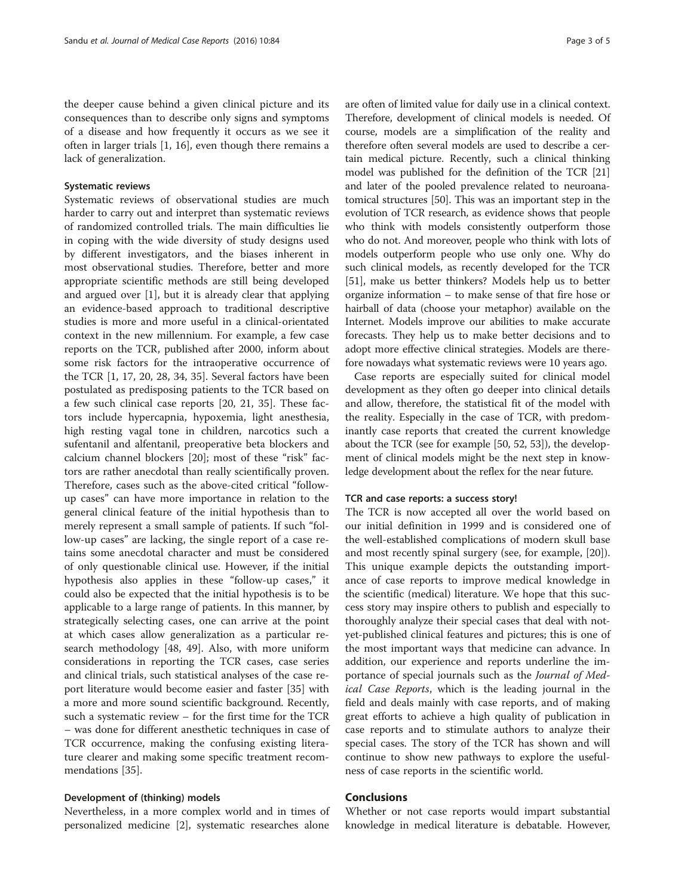the deeper cause behind a given clinical picture and its consequences than to describe only signs and symptoms of a disease and how frequently it occurs as we see it often in larger trials [[1](#page-3-0), [16](#page-3-0)], even though there remains a lack of generalization.

### Systematic reviews

Systematic reviews of observational studies are much harder to carry out and interpret than systematic reviews of randomized controlled trials. The main difficulties lie in coping with the wide diversity of study designs used by different investigators, and the biases inherent in most observational studies. Therefore, better and more appropriate scientific methods are still being developed and argued over [[1\]](#page-3-0), but it is already clear that applying an evidence-based approach to traditional descriptive studies is more and more useful in a clinical-orientated context in the new millennium. For example, a few case reports on the TCR, published after 2000, inform about some risk factors for the intraoperative occurrence of the TCR [[1, 17, 20, 28, 34](#page-3-0), [35](#page-3-0)]. Several factors have been postulated as predisposing patients to the TCR based on a few such clinical case reports [\[20, 21, 35\]](#page-3-0). These factors include hypercapnia, hypoxemia, light anesthesia, high resting vagal tone in children, narcotics such a sufentanil and alfentanil, preoperative beta blockers and calcium channel blockers [\[20](#page-3-0)]; most of these "risk" factors are rather anecdotal than really scientifically proven. Therefore, cases such as the above-cited critical "followup cases" can have more importance in relation to the general clinical feature of the initial hypothesis than to merely represent a small sample of patients. If such "follow-up cases" are lacking, the single report of a case retains some anecdotal character and must be considered of only questionable clinical use. However, if the initial hypothesis also applies in these "follow-up cases," it could also be expected that the initial hypothesis is to be applicable to a large range of patients. In this manner, by strategically selecting cases, one can arrive at the point at which cases allow generalization as a particular research methodology [\[48, 49](#page-4-0)]. Also, with more uniform considerations in reporting the TCR cases, case series and clinical trials, such statistical analyses of the case report literature would become easier and faster [\[35\]](#page-3-0) with a more and more sound scientific background. Recently, such a systematic review – for the first time for the TCR – was done for different anesthetic techniques in case of TCR occurrence, making the confusing existing literature clearer and making some specific treatment recommendations [\[35](#page-3-0)].

#### Development of (thinking) models

Nevertheless, in a more complex world and in times of personalized medicine [\[2](#page-3-0)], systematic researches alone are often of limited value for daily use in a clinical context. Therefore, development of clinical models is needed. Of course, models are a simplification of the reality and therefore often several models are used to describe a certain medical picture. Recently, such a clinical thinking model was published for the definition of the TCR [[21](#page-3-0)] and later of the pooled prevalence related to neuroanatomical structures [\[50](#page-4-0)]. This was an important step in the evolution of TCR research, as evidence shows that people who think with models consistently outperform those who do not. And moreover, people who think with lots of models outperform people who use only one. Why do such clinical models, as recently developed for the TCR [[51](#page-4-0)], make us better thinkers? Models help us to better organize information – to make sense of that fire hose or hairball of data (choose your metaphor) available on the Internet. Models improve our abilities to make accurate forecasts. They help us to make better decisions and to adopt more effective clinical strategies. Models are therefore nowadays what systematic reviews were 10 years ago.

Case reports are especially suited for clinical model development as they often go deeper into clinical details and allow, therefore, the statistical fit of the model with the reality. Especially in the case of TCR, with predominantly case reports that created the current knowledge about the TCR (see for example [[50](#page-4-0), [52, 53\]](#page-4-0)), the development of clinical models might be the next step in knowledge development about the reflex for the near future.

#### TCR and case reports: a success story!

The TCR is now accepted all over the world based on our initial definition in 1999 and is considered one of the well-established complications of modern skull base and most recently spinal surgery (see, for example, [\[20](#page-3-0)]). This unique example depicts the outstanding importance of case reports to improve medical knowledge in the scientific (medical) literature. We hope that this success story may inspire others to publish and especially to thoroughly analyze their special cases that deal with notyet-published clinical features and pictures; this is one of the most important ways that medicine can advance. In addition, our experience and reports underline the importance of special journals such as the Journal of Medical Case Reports, which is the leading journal in the field and deals mainly with case reports, and of making great efforts to achieve a high quality of publication in case reports and to stimulate authors to analyze their special cases. The story of the TCR has shown and will continue to show new pathways to explore the usefulness of case reports in the scientific world.

## Conclusions

Whether or not case reports would impart substantial knowledge in medical literature is debatable. However,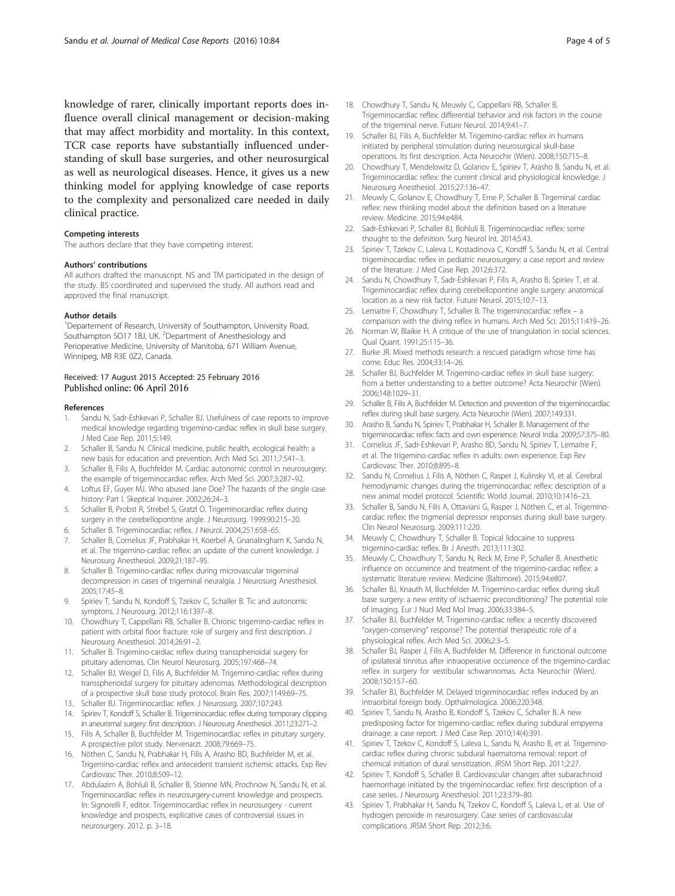<span id="page-3-0"></span>knowledge of rarer, clinically important reports does influence overall clinical management or decision-making that may affect morbidity and mortality. In this context, TCR case reports have substantially influenced understanding of skull base surgeries, and other neurosurgical as well as neurological diseases. Hence, it gives us a new thinking model for applying knowledge of case reports to the complexity and personalized care needed in daily clinical practice.

#### Competing interests

The authors declare that they have competing interest.

#### Authors' contributions

All authors drafted the manuscript. NS and TM participated in the design of the study. BS coordinated and supervised the study. All authors read and approved the final manuscript.

#### Author details

<sup>1</sup>Departement of Research, University of Southampton, University Road, Southampton SO17 1BJ, UK. <sup>2</sup>Department of Anesthesiology and Perioperative Medicine, University of Manitoba, 671 William Avenue, Winnipeg, MB R3E 0Z2, Canada.

#### Received: 17 August 2015 Accepted: 25 February 2016 Published online: 06 April 2016

#### References

- 1. Sandu N, Sadr-Eshkevari P, Schaller BJ. Usefulness of case reports to improve medical knowledge regarding trigemino-cardiac reflex in skull base surgery. J Med Case Rep. 2011;5:149.
- 2. Schaller B, Sandu N. Clinical medicine, public health, ecological health: a new basis for education and prevention. Arch Med Sci. 2011;7:541–3.
- 3. Schaller B, Filis A, Buchfelder M. Cardiac autonomic control in neurosurgery: the example of trigeminocardiac reflex. Arch Med Sci. 2007;3:287–92.
- 4. Loftus EF, Guyer MJ. Who abused Jane Doe? The hazards of the single case history: Part I. Skeptical Inquirer. 2002;26:24-3.
- 5. Schaller B, Probst R, Strebel S, Gratzl O. Trigeminocardiac reflex during surgery in the cerebellopontine angle. J Neurosurg. 1999;90:215–20.
- 6. Schaller B. Trigeminocardiac reflex. J Neurol. 2004;251:658–65.
- 7. Schaller B, Cornelius JF, Prabhakar H, Koerbel A, Gnanalingham K, Sandu N, et al. The trigemino-cardiac reflex: an update of the current knowledge. J Neurosurg Anesthesiol. 2009;21:187–95.
- 8. Schaller B. Trigemino-cardiac reflex during microvascular trigeminal decompression in cases of trigeminal neuralgia. J Neurosurg Anesthesiol. 2005;17:45–8.
- 9. Spiriev T, Sandu N, Kondoff S, Tzekov C, Schaller B. Tic and autonomic symptons. J Neurosurg. 2012;116:1397–8.
- 10. Chowdhury T, Cappellani RB, Schaller B. Chronic trigemino-cardiac reflex in patient with orbital floor fracture: role of surgery and first description. J Neurosurg Anesthesiol. 2014;26:91–2.
- 11. Schaller B. Trigemino-cardiac reflex during transsphenoidal surgery for pituitary adenomas. Clin Neurol Neurosurg. 2005;197:468–74.
- 12. Schaller BJ, Weigel D, Filis A, Buchfelder M. Trigemino-cardiac reflex during transsphenoidal surgery for pituitary adenomas. Methodological description of a prospective skull base study protocol. Brain Res. 2007;1149:69–75.
- 13. Schaller BJ. Trigeminocardiac reflex. J Neurosurg. 2007;107:243.
- 14. Spiriev T, Kondoff S, Schaller B. Trigeminocardiac reflex during temporary clipping in aneurismal surgery: first description. J Neurosurg Anesthesiol. 2011;23:271–2.
- 15. Filis A, Schaller B, Buchfelder M. Trigeminocardiac reflex in pituitary surgery. A prospective pilot study. Nervenarzt. 2008;79:669–75.
- 16. Nöthen C, Sandu N, Prabhakar H, Filis A, Arasho BD, Buchfelder M, et al. Trigemino-cardiac reflex and antecedent transient ischemic attacks. Exp Rev Cardiovasc Ther. 2010;8:509–12.
- 17. Abdulazim A, Bohluli B, Schaller B, Stienne MN, Prochnow N, Sandu N, et al. Trigeminocardiac reflex in neurosurgery-current knowledge and prospects. In: Signorelli F, editor. Trigeminocardiac reflex in neurosurgery - current knowledge and prospects, explicative cases of controversial issues in neurosurgery. 2012. p. 3–18.
- 18. Chowdhury T, Sandu N, Meuwly C, Cappellani RB, Schaller B. Trigeminocardiac reflex: differential behavior and risk factors in the course of the trigeminal nerve. Future Neurol. 2014;9:41–7.
- 19. Schaller BJ, Filis A, Buchfelder M. Trigemino-cardiac reflex in humans initiated by peripheral stimulation during neurosurgical skull-base operations. Its first description. Acta Neurochir (Wien). 2008;150:715–8.
- 20. Chowdhury T, Mendelowitz D, Golanov E, Spiriev T, Arasho B, Sandu N, et al. Trigeminocardiac reflex: the current clinical and physiological knowledge. J Neurosurg Anesthesiol. 2015;27:136–47.
- 21. Meuwly C, Golanov E, Chowdhury T, Erne P, Schaller B. Tirgeminal cardiac reflex: new thinking model about the definition based on a literature review. Medicine. 2015;94:e484.
- 22. Sadr-Eshkevari P, Schaller BJ, Bohluli B. Trigeminocardiac reflex: some thought to the definition. Surg Neurol Int. 2014;5:43.
- 23. Spiriev T, Tzekov C, Laleva L, Kostadinova C, Kondff S, Sandu N, et al. Central trigeminocardiac reflex in pediatric neurosurgery: a case report and review of the literature. J Med Case Rep. 2012;6:372.
- 24. Sandu N, Chowdhury T, Sadr-Eshkevari P, Filis A, Arasho B, Spiriev T, et al. Trigeminocardiac reflex during cerebellopontine angle surgery: anatomical location as a new risk factor. Future Neurol. 2015;10:7–13.
- 25. Lemaitre F, Chowdhury T, Schaller B. The trigeminocardiac reflex a comparison with the diving reflex in humans. Arch Med Sci. 2015;11:419–26.
- 26. Norman W, Blaikie H. A critique of the use of triangulation in social sciences. Qual Quant. 1991;25:115–36.
- 27. Burke JR. Mixed methods research: a rescued paradigm whose time has come. Educ Res. 2004;33:14–26.
- 28. Schaller BJ, Buchfelder M. Trigemino-cardiac reflex in skull base surgery: from a better understanding to a better outcome? Acta Neurochir (Wien). 2006;148:1029–31.
- 29. Schaller B, Filis A, Buchfelder M, Detection and prevention of the trigeminocardiac reflex during skull base surgery. Acta Neurochir (Wien). 2007;149:331.
- 30. Arasho B, Sandu N, Spiriev T, Prabhakar H, Schaller B. Management of the trigeminocardiac reflex: facts and own experience. Neurol India. 2009;57:375–80.
- 31. Cornelius JF, Sadr-Eshkevari P, Arasho BD, Sandu N, Spiriev T, Lemaitre F, et al. The trigemino-cardiac reflex in adults: own experience. Exp Rev Cardiovasc Ther. 2010;8:895–8.
- 32. Sandu N, Cornelius J, Filis A, Nöthen C, Rasper J, Kulinsky VI, et al. Cerebral hemodynamic changes during the trigeminocardiac reflex: description of a new animal model protocol. Scientific World Journal. 2010;10:1416–23.
- 33. Schaller B, Sandu N, Filis A, Ottaviani G, Rasper J, Nöthen C, et al. Trigeminocardiac reflex: the trigmenial depressor responses during skull base surgery. Clin Neurol Neurosurg. 2009;111:220.
- 34. Meuwly C, Chowdhury T, Schaller B. Topical lidocaine to suppress trigemino-cardiac reflex. Br J Anesth. 2013;111:302.
- 35. Meuwly C, Chowdhury T, Sandu N, Reck M, Erne P, Schaller B. Anesthetic influence on occurrence and treatment of the trigemino-cardiac reflex: a systematic literature review. Medicine (Baltimore). 2015;94:e807.
- 36. Schaller BJ, Knauth M, Buchfelder M. Trigemino-cardiac reflex during skull base surgery: a new entity of ischaemic preconditioning? The potential role of imaging. Eur J Nucl Med Mol Imag. 2006;33:384–5.
- 37. Schaller BJ, Buchfelder M. Trigemino-cardiac reflex: a recently discovered "oxygen-conserving" response? The potential therapeutic role of a physiological reflex. Arch Med Sci. 2006;2:3–5.
- Schaller BJ, Rasper J, Filis A, Buchfelder M. Difference in functional outcome of ipsilateral tinnitus after intraoperative occurrence of the trigemino-cardiac reflex in surgery for vestibular schwannomas. Acta Neurochir (Wien). 2008;150:157–60.
- 39. Schaller BJ, Buchfelder M. Delayed trigeminocardiac reflex induced by an intraorbital foreign body. Opthalmologica. 2006;220:348.
- 40. Spiriev T, Sandu N, Arasho B, Kondoff S, Tzekov C, Schaller B. A new predisposing factor for trigemino-cardiac reflex during subdural empyema drainage: a case report. J Med Case Rep. 2010;14(4):391.
- 41. Spiriev T, Tzekov C, Kondoff S, Laleva L, Sandu N, Arasho B, et al. Trigeminocardiac reflex during chronic subdural haematoma removal: report of chemical initiation of dural sensitization. JRSM Short Rep. 2011;2:27.
- 42. Spiriev T, Kondoff S, Schaller B. Cardiovascular changes after subarachnoid haemorrhage initiated by the trigeminocardiac reflex: first description of a case series. J Neurosurg Anesthesiol. 2011;23:379–80.
- 43. Spiriev T, Prabhakar H, Sandu N, Tzekov C, Kondoff S, Laleva L, et al. Use of hydrogen peroxide in neurosurgery. Case series of cardiovascular complications JRSM Short Rep. 2012;3:6.